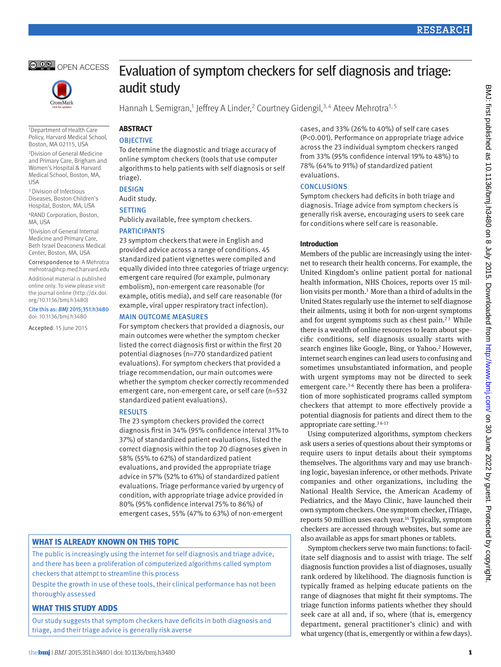



1Department of Health Care Policy, Harvard Medical School, Boston, MA 02115, USA

2Division of General Medicine and Primary Care, Brigham and Women's Hospital & Harvard Medical School, Boston, MA, USA

3 Division of Infectious Diseases, Boston Children's Hospital, Boston, MA, USA

4RAND Corporation, Boston, MA, USA

5Division of General Internal Medicine and Primary Care, Beth Israel Deaconess Medical Center, Boston, MA, USA

Correspondence to: A Mehrotra <mehrotra@hcp.med.harvard.edu> Additional material is published

online only. To view please visit the journal online (http://dx.doi. org/10.1136/bmj.h3480)

Cite this as: *BMJ* 2015;351:h3480 doi: 10.1136/bmj.h3480

Accepted: 15 June 2015

# Evaluation of symptom checkers for self diagnosis and triage: audit study

Hannah L Semigran,<sup>1</sup> Jeffrey A Linder,<sup>2</sup> Courtney Gidengil,<sup>3,4</sup> Ateev Mehrotra<sup>1,5</sup>

## **ABSTRACT**

## **OBJECTIVE**

To determine the diagnostic and triage accuracy of online symptom checkers (tools that use computer algorithms to help patients with self diagnosis or self triage).

## **DESIGN**

Audit study.

## **SETTING**

Publicly available, free symptom checkers.

#### **PARTICIPANTS**

23 symptom checkers that were in English and provided advice across a range of conditions. 45 standardized patient vignettes were compiled and equally divided into three categories of triage urgency: emergent care required (for example, pulmonary embolism), non-emergent care reasonable (for example, otitis media), and self care reasonable (for example, viral upper respiratory tract infection).

#### **MAIN OUTCOME MEASURES**

For symptom checkers that provided a diagnosis, our main outcomes were whether the symptom checker listed the correct diagnosis first or within the first 20 potential diagnoses (n=770 standardized patient evaluations). For symptom checkers that provided a triage recommendation, our main outcomes were whether the symptom checker correctly recommended emergent care, non-emergent care, or self care (n=532 standardized patient evaluations).

## **RESULTS**

The 23 symptom checkers provided the correct diagnosis first in 34% (95% confidence interval 31% to 37%) of standardized patient evaluations, listed the correct diagnosis within the top 20 diagnoses given in 58% (55% to 62%) of standardized patient evaluations, and provided the appropriate triage advice in 57% (52% to 61%) of standardized patient evaluations. Triage performance varied by urgency of condition, with appropriate triage advice provided in 80% (95% confidence interval 75% to 86%) of emergent cases, 55% (47% to 63%) of non-emergent

## **What is already known on this topic**

The public is increasingly using the internet for self diagnosis and triage advice, and there has been a proliferation of computerized algorithms called symptom checkers that attempt to streamline this process

Despite the growth in use of these tools, their clinical performance has not been thoroughly assessed

## **What this study adds**

Our study suggests that symptom checkers have deficits in both diagnosis and triage, and their triage advice is generally risk averse

cases, and 33% (26% to 40%) of self care cases (P<0.001). Performance on appropriate triage advice across the 23 individual symptom checkers ranged from 33% (95% confidence interval 19% to 48%) to 78% (64% to 91%) of standardized patient evaluations.

## **CONCLUSIONS**

Symptom checkers had deficits in both triage and diagnosis. Triage advice from symptom checkers is generally risk averse, encouraging users to seek care for conditions where self care is reasonable.

## **Introduction**

Members of the public are increasingly using the internet to research their health concerns. For example, the United Kingdom's online patient portal for national health information, NHS Choices, reports over 15 mil-lion visits per month.<sup>[1](#page-8-0)</sup> More than a third of adults in the United States regularly use the internet to self diagnose their ailments, using it both for non-urgent symptoms and for urgent symptoms such as chest pain. $23$  $23$  While there is a wealth of online resources to learn about specific conditions, self diagnosis usually starts with search engines like Google, Bing, or Yahoo.<sup>2</sup> However, internet search engines can lead users to confusing and sometimes unsubstantiated information, and people with urgent symptoms may not be directed to seek emergent care.<sup>[3](#page-8-2)[-6](#page-8-3)</sup> Recently there has been a proliferation of more sophisticated programs called symptom checkers that attempt to more effectively provide a potential diagnosis for patients and direct them to the appropriate care setting[.3](#page-8-2) [6-](#page-8-3)[13](#page-8-4)

Using computerized algorithms, symptom checkers ask users a series of questions about their symptoms or require users to input details about their symptoms themselves. The algorithms vary and may use branching logic, bayesian inference, or other methods. Private companies and other organizations, including the National Health Service, the American Academy of Pediatrics, and the Mayo Clinic, have launched their own symptom checkers. One symptom checker, iTriage, reports 50 million uses each year.<sup>14</sup> Typically, symptom checkers are accessed through websites, but some are also available as apps for smart phones or tablets.

Symptom checkers serve two main functions: to facilitate self diagnosis and to assist with triage. The self diagnosis function provides a list of diagnoses, usually rank ordered by likelihood. The diagnosis function is typically framed as helping educate patients on the range of diagnoses that might fit their symptoms. The triage function informs patients whether they should seek care at all and, if so, where (that is, emergency department, general practitioner's clinic) and with what urgency (that is, emergently or within a few days).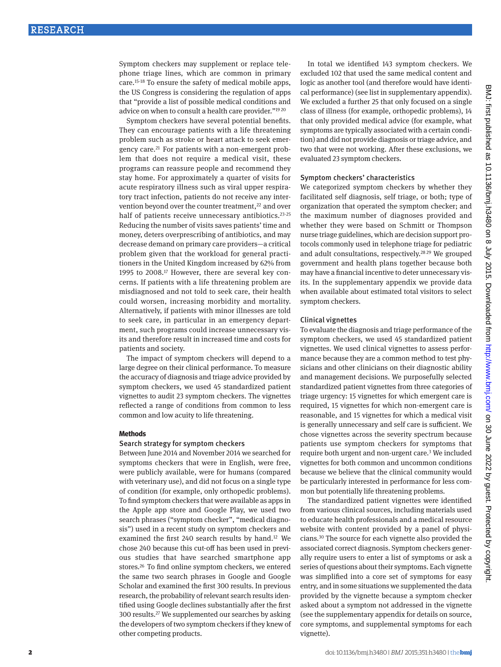Symptom checkers may supplement or replace telephone triage lines, which are common in primary care[.15](#page-8-6)-[18](#page-8-7) To ensure the safety of medical mobile apps, the US Congress is considering the regulation of apps that "provide a list of possible medical conditions and advice on when to consult a health care provider."[19](#page-8-8) [20](#page-8-9)

Symptom checkers have several potential benefits. They can encourage patients with a life threatening problem such as stroke or heart attack to seek emergency care[.21](#page-8-10) For patients with a non-emergent problem that does not require a medical visit, these programs can reassure people and recommend they stay home. For approximately a quarter of visits for acute respiratory illness such as viral upper respiratory tract infection, patients do not receive any intervention beyond over the counter treatment,<sup>22</sup> and over half of patients receive unnecessary antibiotics.<sup>[23-](#page-8-12)[25](#page-8-13)</sup> Reducing the number of visits saves patients' time and money, deters overprescribing of antibiotics, and may decrease demand on primary care providers—a critical problem given that the workload for general practitioners in the United Kingdom increased by 62% from 1995 to 2008.[17](#page-8-14) However, there are several key concerns. If patients with a life threatening problem are misdiagnosed and not told to seek care, their health could worsen, increasing morbidity and mortality. Alternatively, if patients with minor illnesses are told to seek care, in particular in an emergency department, such programs could increase unnecessary visits and therefore result in increased time and costs for patients and society.

The impact of symptom checkers will depend to a large degree on their clinical performance. To measure the accuracy of diagnosis and triage advice provided by symptom checkers, we used 45 standardized patient vignettes to audit 23 symptom checkers. The vignettes reflected a range of conditions from common to less common and low acuity to life threatening.

#### **Methods**

## Search strategy for symptom checkers

Between June 2014 and November 2014 we searched for symptoms checkers that were in English, were free, were publicly available, were for humans (compared with veterinary use), and did not focus on a single type of condition (for example, only orthopedic problems). To find symptom checkers that were available as apps in the Apple app store and Google Play, we used two search phrases ("symptom checker", "medical diagnosis") used in a recent study on symptom checkers and examined the first 240 search results by hand.[12](#page-8-15) We chose 240 because this cut-off has been used in previous studies that have searched smartphone app stores[.26](#page-8-16) To find online symptom checkers, we entered the same two search phrases in Google and Google Scholar and examined the first 300 results. In previous research, the probability of relevant search results identified using Google declines substantially after the first 300 results[.27](#page-8-17) We supplemented our searches by asking the developers of two symptom checkers if they knew of other competing products.

In total we identified 143 symptom checkers. We excluded 102 that used the same medical content and logic as another tool (and therefore would have identical performance) (see list in supplementary appendix). We excluded a further 25 that only focused on a single class of illness (for example, orthopedic problems), 14 that only provided medical advice (for example, what symptoms are typically associated with a certain condition) and did not provide diagnosis or triage advice, and two that were not working. After these exclusions, we evaluated 23 symptom checkers.

#### Symptom checkers' characteristics

We categorized symptom checkers by whether they facilitated self diagnosis, self triage, or both; type of organization that operated the symptom checker; and the maximum number of diagnoses provided and whether they were based on Schmitt or Thompson nurse triage guidelines, which are decision support protocols commonly used in telephone triage for pediatric and adult consultations, respectively[.28](#page-8-18) [29](#page-8-19) We grouped government and health plans together because both may have a financial incentive to deter unnecessary visits. In the supplementary appendix we provide data when available about estimated total visitors to select symptom checkers.

#### Clinical vignettes

To evaluate the diagnosis and triage performance of the symptom checkers, we used 45 standardized patient vignettes. We used clinical vignettes to assess performance because they are a common method to test physicians and other clinicians on their diagnostic ability and management decisions. We purposefully selected standardized patient vignettes from three categories of triage urgency: 15 vignettes for which emergent care is required, 15 vignettes for which non-emergent care is reasonable, and 15 vignettes for which a medical visit is generally unnecessary and self care is sufficient. We chose vignettes across the severity spectrum because patients use symptom checkers for symptoms that require both urgent and non-urgent care[.3](#page-8-2) We included vignettes for both common and uncommon conditions because we believe that the clinical community would be particularly interested in performance for less common but potentially life threatening problems.

The standardized patient vignettes were identified from various clinical sources, including materials used to educate health professionals and a medical resource website with content provided by a panel of physicians[.30](#page-8-20) The source for each vignette also provided the associated correct diagnosis. Symptom checkers generally require users to enter a list of symptoms or ask a series of questions about their symptoms. Each vignette was simplified into a core set of symptoms for easy entry, and in some situations we supplemented the data provided by the vignette because a symptom checker asked about a symptom not addressed in the vignette (see the supplementary appendix for details on source, core symptoms, and supplemental symptoms for each vignette).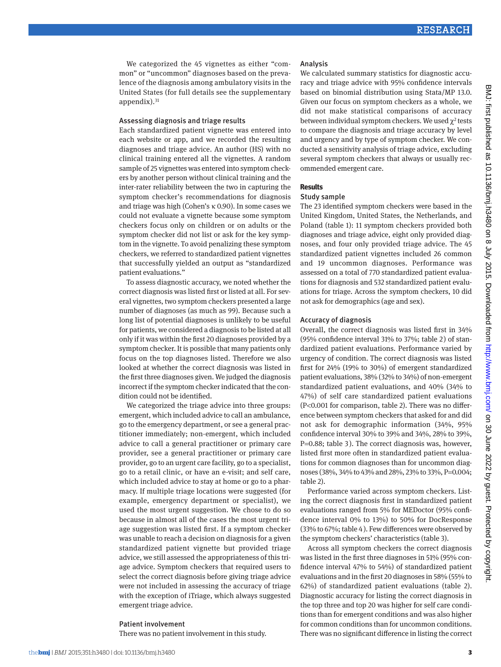We categorized the 45 vignettes as either "common" or "uncommon" diagnoses based on the prevalence of the diagnosis among ambulatory visits in the United States (for full details see the supplementary appendix). $31$ 

#### Assessing diagnosis and triage results

Each standardized patient vignette was entered into each website or app, and we recorded the resulting diagnoses and triage advice. An author (HS) with no clinical training entered all the vignettes. A random sample of 25 vignettes was entered into symptom checkers by another person without clinical training and the inter-rater reliability between the two in capturing the symptom checker's recommendations for diagnosis and triage was high (Cohen's κ 0.90). In some cases we could not evaluate a vignette because some symptom checkers focus only on children or on adults or the symptom checker did not list or ask for the key symptom in the vignette. To avoid penalizing these symptom checkers, we referred to standardized patient vignettes that successfully yielded an output as "standardized patient evaluations."

To assess diagnostic accuracy, we noted whether the correct diagnosis was listed first or listed at all. For several vignettes, two symptom checkers presented a large number of diagnoses (as much as 99). Because such a long list of potential diagnoses is unlikely to be useful for patients, we considered a diagnosis to be listed at all only if it was within the first 20 diagnoses provided by a symptom checker. It is possible that many patients only focus on the top diagnoses listed. Therefore we also looked at whether the correct diagnosis was listed in the first three diagnoses given. We judged the diagnosis incorrect if the symptom checker indicated that the condition could not be identified.

We categorized the triage advice into three groups: emergent, which included advice to call an ambulance, go to the emergency department, or see a general practitioner immediately; non-emergent, which included advice to call a general practitioner or primary care provider, see a general practitioner or primary care provider, go to an urgent care facility, go to a specialist, go to a retail clinic, or have an e-visit; and self care, which included advice to stay at home or go to a pharmacy. If multiple triage locations were suggested (for example, emergency department or specialist), we used the most urgent suggestion. We chose to do so because in almost all of the cases the most urgent triage suggestion was listed first. If a symptom checker was unable to reach a decision on diagnosis for a given standardized patient vignette but provided triage advice, we still assessed the appropriateness of this triage advice. Symptom checkers that required users to select the correct diagnosis before giving triage advice were not included in assessing the accuracy of triage with the exception of iTriage, which always suggested emergent triage advice.

#### Patient involvement

There was no patient involvement in this study.

#### Analysis

We calculated summary statistics for diagnostic accuracy and triage advice with 95% confidence intervals based on binomial distribution using Stata/MP 13.0. Given our focus on symptom checkers as a whole, we did not make statistical comparisons of accuracy between individual symptom checkers. We used  $\chi^2$  tests to compare the diagnosis and triage accuracy by level and urgency and by type of symptom checker. We conducted a sensitivity analysis of triage advice, excluding several symptom checkers that always or usually recommended emergent care.

#### **Results**

#### Study sample

The 23 identified symptom checkers were based in the United Kingdom, United States, the Netherlands, and Poland (table 1): 11 symptom checkers provided both diagnoses and triage advice, eight only provided diagnoses, and four only provided triage advice. The 45 standardized patient vignettes included 26 common and 19 uncommon diagnoses. Performance was assessed on a total of 770 standardized patient evaluations for diagnosis and 532 standardized patient evaluations for triage. Across the symptom checkers, 10 did not ask for demographics (age and sex).

#### Accuracy of diagnosis

Overall, the correct diagnosis was listed first in 34% (95% confidence interval 31% to 37%; table 2) of standardized patient evaluations. Performance varied by urgency of condition. The correct diagnosis was listed first for 24% (19% to 30%) of emergent standardized patient evaluations, 38% (32% to 34%) of non-emergent standardized patient evaluations, and 40% (34% to 47%) of self care standardized patient evaluations (P<0.001 for comparison, table 2). There was no difference between symptom checkers that asked for and did not ask for demographic information (34%, 95% confidence interval 30% to 39% and 34%, 28% to 39%, P=0.88; table 3). The correct diagnosis was, however, listed first more often in standardized patient evaluations for common diagnoses than for uncommon diagnoses (38%, 34% to 43% and 28%, 23% to 33%, P=0.004; table 2).

Performance varied across symptom checkers. Listing the correct diagnosis first in standardized patient evaluations ranged from 5% for MEDoctor (95% confidence interval 0% to 13%) to 50% for DocResponse (33% to 67%; table 4). Few differences were observed by the symptom checkers' characteristics (table 3).

Across all symptom checkers the correct diagnosis was listed in the first three diagnoses in 51% (95% confidence interval 47% to 54%) of standardized patient evaluations and in the first 20 diagnoses in 58% (55% to 62%) of standardized patient evaluations (table 2). Diagnostic accuracy for listing the correct diagnosis in the top three and top 20 was higher for self care conditions than for emergent conditions and was also higher for common conditions than for uncommon conditions. There was no significant difference in listing the correct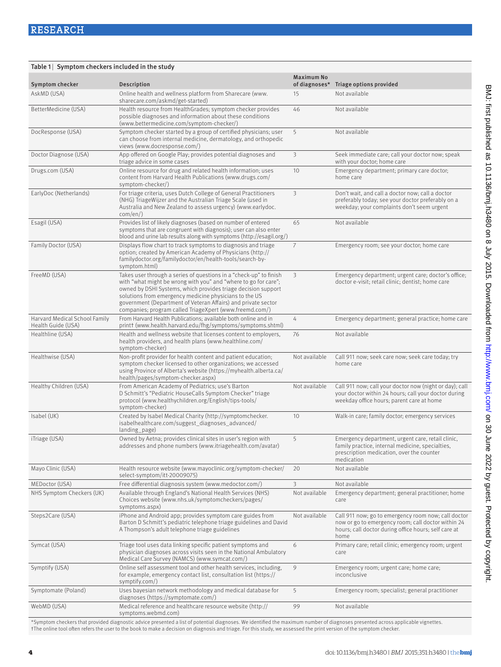| Table 1 Symptom checkers included in the study      |                                                                                                                                                                                                                                                                                                                                                                                              |                         |                                                                                                                                                                           |
|-----------------------------------------------------|----------------------------------------------------------------------------------------------------------------------------------------------------------------------------------------------------------------------------------------------------------------------------------------------------------------------------------------------------------------------------------------------|-------------------------|---------------------------------------------------------------------------------------------------------------------------------------------------------------------------|
| Symptom checker                                     | Description                                                                                                                                                                                                                                                                                                                                                                                  | <b>Maximum No</b>       | of diagnoses* Triage options provided                                                                                                                                     |
| AskMD (USA)                                         | Online health and wellness platform from Sharecare (www.<br>sharecare.com/askmd/get-started)                                                                                                                                                                                                                                                                                                 | 15                      | Not available                                                                                                                                                             |
| BetterMedicine (USA)                                | Health resource from HealthGrades; symptom checker provides<br>possible diagnoses and information about these conditions<br>(www.bettermedicine.com/symptom-checker/)                                                                                                                                                                                                                        | 46                      | Not available                                                                                                                                                             |
| DocResponse (USA)                                   | Symptom checker started by a group of certified physicians; user<br>can choose from internal medicine, dermatology, and orthopedic<br>views (www.docresponse.com/)                                                                                                                                                                                                                           | 5                       | Not available                                                                                                                                                             |
| Doctor Diagnose (USA)                               | App offered on Google Play; provides potential diagnoses and<br>triage advice in some cases                                                                                                                                                                                                                                                                                                  | 3                       | Seek immediate care; call your doctor now; speak<br>with your doctor; home care                                                                                           |
| Drugs.com (USA)                                     | Online resource for drug and related health information; uses<br>content from Harvard Health Publications (www.drugs.com/<br>symptom-checker/)                                                                                                                                                                                                                                               | 10                      | Emergency department; primary care doctor;<br>home care                                                                                                                   |
| EarlyDoc (Netherlands)                              | For triage criteria, uses Dutch College of General Practitioners<br>(NHG) TriageWijzer and the Australian Triage Scale (used in<br>Australia and New Zealand to assess urgency) (www.earlydoc.<br>com/en)                                                                                                                                                                                    | 3                       | Don't wait, and call a doctor now; call a doctor<br>preferably today; see your doctor preferably on a<br>weekday; your complaints don't seem urgent                       |
| Esagil (USA)                                        | Provides list of likely diagnoses (based on number of entered<br>symptoms that are congruent with diagnosis); user can also enter<br>blood and urine lab results along with symptoms (http://esagil.org/)                                                                                                                                                                                    | 65                      | Not available                                                                                                                                                             |
| Family Doctor (USA)                                 | Displays flow chart to track symptoms to diagnosis and triage<br>option; created by American Academy of Physicians (http://<br>familydoctor.org/familydoctor/en/health-tools/search-by-<br>symptom.html)                                                                                                                                                                                     | $\overline{7}$          | Emergency room; see your doctor; home care                                                                                                                                |
| FreeMD (USA)                                        | Takes user through a series of questions in a "check-up" to finish<br>with "what might be wrong with you" and "where to go for care";<br>owned by DSHI Systems, which provides triage decision support<br>solutions from emergency medicine physicians to the US<br>government (Department of Veteran Affairs) and private sector<br>companies; program called TriageXpert (www.freemd.com/) | $\overline{\mathbf{3}}$ | Emergency department; urgent care; doctor's office;<br>doctor e-visit; retail clinic; dentist; home care                                                                  |
| Harvard Medical School Family<br>Health Guide (USA) | From Harvard Health Publications; available both online and in<br>printt (www.health.harvard.edu/fhg/symptoms/symptoms.shtml)                                                                                                                                                                                                                                                                | 4                       | Emergency department; general practice; home care                                                                                                                         |
| Healthline (USA)                                    | Health and wellness website that licenses content to employers,<br>health providers, and health plans (www.healthline.com/<br>symptom-checker)                                                                                                                                                                                                                                               | 76                      | Not available                                                                                                                                                             |
| Healthwise (USA)                                    | Non-profit provider for health content and patient education;<br>symptom checker licensed to other organizations; we accessed<br>using Province of Alberta's website (https://myhealth.alberta.ca/<br>health/pages/symptom-checker.aspx)                                                                                                                                                     | Not available           | Call 911 now; seek care now; seek care today; try<br>home care                                                                                                            |
| Healthy Children (USA)                              | From American Academy of Pediatrics; use's Barton<br>D Schmitt's "Pediatric HouseCalls Symptom Checker" triage<br>protocol (www.healthychildren.org/English/tips-tools/<br>symptom-checker)                                                                                                                                                                                                  | Not available           | Call 911 now; call your doctor now (night or day); call<br>your doctor within 24 hours; call your doctor during<br>weekday office hours; parent care at home              |
| Isabel (UK)                                         | Created by Isabel Medical Charity (http://symptomchecker.<br>isabelhealthcare.com/suggest_diagnoses_advanced/<br>landing_page)                                                                                                                                                                                                                                                               | 10                      | Walk-in care; family doctor; emergency services                                                                                                                           |
| iTriage (USA)                                       | Owned by Aetna; provides clinical sites in user's region with<br>addresses and phone numbers (www.itriagehealth.com/avatar)                                                                                                                                                                                                                                                                  | 5                       | Emergency department, urgent care, retail clinic,<br>family practice, internal medicine, specialties,<br>prescription medication, over the counter<br>medication          |
| Mayo Clinic (USA)                                   | Health resource website (www.mayoclinic.org/symptom-checker/<br>select-symptom/itt-20009075)                                                                                                                                                                                                                                                                                                 | 20                      | Not available                                                                                                                                                             |
| MEDoctor (USA)                                      | Free differential diagnosis system (www.medoctor.com/)                                                                                                                                                                                                                                                                                                                                       | $\overline{\mathbf{3}}$ | Not available                                                                                                                                                             |
| NHS Symptom Checkers (UK)                           | Available through England's National Health Services (NHS)<br>Choices website (www.nhs.uk/symptomcheckers/pages/<br>symptoms.aspx)                                                                                                                                                                                                                                                           | Not available           | Emergency department; general practitioner; home<br>care                                                                                                                  |
| Steps2Care (USA)                                    | iPhone and Android app; provides symptom care guides from<br>Barton D Schmitt's pediatric telephone triage guidelines and David<br>A Thompson's adult telephone triage guidelines                                                                                                                                                                                                            | Not available           | Call 911 now; go to emergency room now; call doctor<br>now or go to emergency room; call doctor within 24<br>hours; call doctor during office hours; self care at<br>home |
| Symcat (USA)                                        | Triage tool uses data linking specific patient symptoms and<br>physician diagnoses across visits seen in the National Ambulatory<br>Medical Care Survey (NAMCS) (www.symcat.com/)                                                                                                                                                                                                            | 6                       | Primary care; retail clinic; emergency room; urgent<br>care                                                                                                               |
| Symptify (USA)                                      | Online self assessment tool and other health services, including,<br>for example, emergency contact list, consultation list (https://<br>symptify.com/)                                                                                                                                                                                                                                      | 9                       | Emergency room; urgent care; home care;<br>inconclusive                                                                                                                   |
| Symptomate (Poland)                                 | Uses bayesian network methodology and medical database for<br>diagnoses (https://symptomate.com/)                                                                                                                                                                                                                                                                                            | 5                       | Emergency room; specialist; general practitioner                                                                                                                          |
| WebMD (USA)                                         | Medical reference and healthcare resource website (http://<br>symptoms.webmd.com)                                                                                                                                                                                                                                                                                                            | 99                      | Not available                                                                                                                                                             |

\*Symptom checkers that provided diagnostic advice presented a list of potential diagnoses. We identified the maximum number of diagnoses presented across applicable vignettes. †The online tool often refers the user to the book to make a decision on diagnosis and triage. For this study, we assessed the print version of the symptom checker.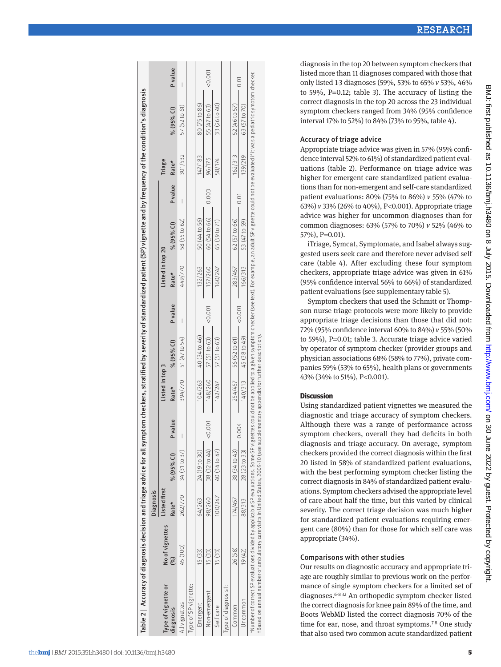| Table 2   Accuracy of diagnosis decision and triage advice for all symptom checkers, stratified by severity of standardized patient (SP) vignette and by frequency of the condition's diagnosis                                                                                                                                                                     |                 |                  |               |                |                 |                         |                          |                  |               |         |         |                         |         |
|---------------------------------------------------------------------------------------------------------------------------------------------------------------------------------------------------------------------------------------------------------------------------------------------------------------------------------------------------------------------|-----------------|------------------|---------------|----------------|-----------------|-------------------------|--------------------------|------------------|---------------|---------|---------|-------------------------|---------|
|                                                                                                                                                                                                                                                                                                                                                                     |                 | <b>Diagnosis</b> |               |                |                 |                         |                          |                  |               |         |         |                         |         |
| Type of vignette or                                                                                                                                                                                                                                                                                                                                                 | No of vignettes | Listed first     |               |                | Listed in top 3 |                         |                          | Listed in top 20 |               |         | Triage  |                         |         |
| diagnosis                                                                                                                                                                                                                                                                                                                                                           | $\mathcal{S}$   | Rate*            | % (95% Cl)    | <b>P</b> value | Rate*           | % (95% CI)              | <b>P</b> value           | Rate*            | % (95% CI)    | Pvalue  | Rate*   | % (95% CI)              | P value |
| All vignettes                                                                                                                                                                                                                                                                                                                                                       | 45 (100)        | 262/770          | 34 (31 to 37) |                |                 | 394/770 51 (47 to 54)   | $\overline{\phantom{a}}$ | 449/770          | 58 (55 to 62) |         | 301/532 | 57 (52 to 61)           |         |
| Type of SP vignette:                                                                                                                                                                                                                                                                                                                                                |                 |                  |               |                |                 |                         |                          |                  |               |         |         |                         |         |
| Emergent                                                                                                                                                                                                                                                                                                                                                            | 15 (33)         | 64/263           | 24 (19 to 30) |                |                 | $104/263$ 40 (34 to 46) |                          | 132/263          | 50 (44 to 56) |         | 147/183 | 80 <sub>(75to 86)</sub> |         |
| Non-emergent                                                                                                                                                                                                                                                                                                                                                        | 15 (33)         | 98/260           | 38 (32 to 44) | 00000          |                 | $148/260$ 57 (51 to 63) | 0.001                    | 157/260          | 60 (54 to 66) | 0.003   | 96/175  | 55 (47 to 63) <0.001    |         |
| Self care                                                                                                                                                                                                                                                                                                                                                           | 15 (33)         | 100/247          | 40 (34 to 47) |                |                 | $142/247$ 57 (51 to 63) |                          | 160/247          | 65 (59 to 71) |         | 58/174  | 33 (26 to 40)           |         |
| Type of diagnosist:                                                                                                                                                                                                                                                                                                                                                 |                 |                  |               |                |                 |                         |                          |                  |               |         |         |                         |         |
| Common                                                                                                                                                                                                                                                                                                                                                              | 26 (58)         | 174/457          | 38 (34 to 43) |                | 254/457         | 56 (52 to 61)           |                          | 283/457          | 62 (57 to 66) |         | 162/313 | 52 (46 to 57)           |         |
| Jncommon                                                                                                                                                                                                                                                                                                                                                            | 19(42)          | 88/313           | 28 (23 to 33) | 0.004          |                 | 140/313 45 (38 to 49)   | 0.001                    | 166/313          | 53 (47 to 59) | $-0.01$ | 139/219 | 63 (57 to 70)           | 0.01    |
| *Number of correct SP evaluations divided by applicable SP evaluations. Some SP vignettes could not be applied to a given symptom checker (see text). For example, an adult SP vignette could not be evaluated if It was a ped<br>†Based on annual number of ambulatory care visits in United States, 2009-10 (see supplementary appendix for further description). |                 |                  |               |                |                 |                         |                          |                  |               |         |         |                         |         |

diagnosis in the top 20 between symptom checkers that listed more than 11 diagnoses compared with those that only listed 1-3 diagnoses (59%, 53% to 65% *v* 53%, 46% to 59%, P =0.12; table 3). The accuracy of listing the correct diagnosis in the top 20 across the 23 individual symptom checkers ranged from 34% (95% confidence interval 17% to 52%) to 84% (73% to 95%, table 4).

#### Accuracy of triage advice

Appropriate triage advice was given in 57% (95% confi dence interval 52% to 61%) of standardized patient eval uations (table 2). Performance on triage advice was higher for emergent care standardized patient evalua tions than for non-emergent and self-care standardized patient evaluations: 80% (75% to 86%) *v* 55% (47% to 63%) *v* 33% (26% to 40%), P <0.001). Appropriate triage advice was higher for uncommon diagnoses than for common diagnoses: 63% (57% to 70%) *v* 52% (46% to 57%), P =0.01).

iTriage, Symcat, Symptomate, and Isabel always sug gested users seek care and therefore never advised self care (table 4). After excluding these four symptom checkers, appropriate triage advice was given in 61% (95% confidence interval 56% to 66%) of standardized patient evaluations (see supplementary table 5).

Symptom checkers that used the Schmitt or Thomp son nurse triage protocols were more likely to provide appropriate triage decisions than those that did not: 72% (95% confidence interval 60% to 84%) *v* 55% (50% to 59%), P =0.01; table 3. Accurate triage advice varied by operator of symptom checker (provider groups and physician associations 68% (58% to 77%), private com panies 59% (53% to 65%), health plans or governments 43% (34% to 51%), P<0.001).

## **Discussion**

Using standardized patient vignettes we measured the diagnostic and triage accuracy of symptom checkers. Although there was a range of performance across symptom checkers, overall they had deficits in both diagnosis and triage accuracy. On average, symptom checkers provided the correct diagnosis within the first 20 listed in 58% of standardized patient evaluations, with the best performing symptom checker listing the correct diagnosis in 84% of standardized patient evalu ations. Symptom checkers advised the appropriate level of care about half the time, but this varied by clinical severity. The correct triage decision was much higher for standardized patient evaluations requiring emer gent care (80%) than for those for which self care was appropriate (34%).

## Comparisons with other studies

Our results on diagnostic accuracy and appropriate tri age are roughly similar to previous work on the perfor mance of single symptom checkers for a limited set of diagnoses. $6-832$  $6-832$  $6-832$  An orthopedic symptom checker listed the correct diagnosis for knee pain 89% of the time, and Boots WebMD listed the correct diagnosis 70% of the time for ear, nose, and throat symptoms. [7](#page-8-24) [8](#page-8-22) One study that also used two common acute standardized patient

RESEARCH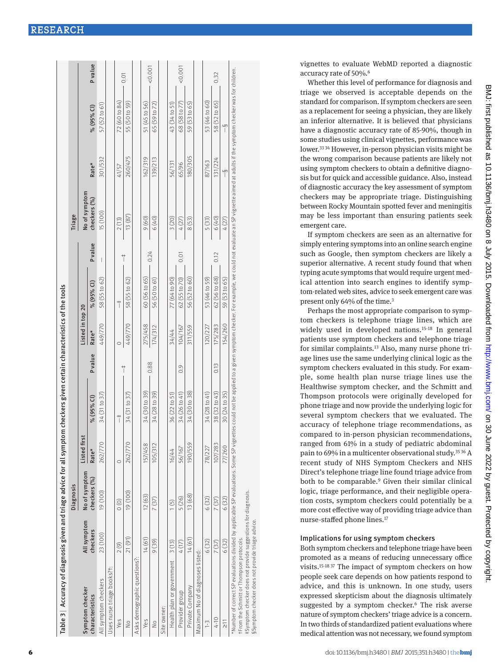| Symptom checker                                                                                                                                                                                                                                      |             | <b>Diagnosis</b>        |              |               |                |                  |               |               | Triage                                                                                                                                                            |               |               |        |
|------------------------------------------------------------------------------------------------------------------------------------------------------------------------------------------------------------------------------------------------------|-------------|-------------------------|--------------|---------------|----------------|------------------|---------------|---------------|-------------------------------------------------------------------------------------------------------------------------------------------------------------------|---------------|---------------|--------|
|                                                                                                                                                                                                                                                      | All symptom | No of symptom           | Listed first |               |                | Listed in top 20 |               |               | No of symptom                                                                                                                                                     |               |               |        |
| characteristics                                                                                                                                                                                                                                      | checkers    | ${\sf checkers}\,( \%)$ | Rate*        | % (95% Cl)    | <b>P</b> value | Rate*            | % (95% Cl)    | Pvalue        | checkers (%)                                                                                                                                                      | Rate*         | % (95% Cl)    | Pvalue |
| All symptom checkers                                                                                                                                                                                                                                 | 23 (100)    | 19 (100)                | 262/770      | 34 (31 to 37) |                | 449/770          | 58 (55 to 62) | I             | 15 (100)                                                                                                                                                          | 301/532       | 57 (52 to 61) |        |
| Uses nurse triage books?t:                                                                                                                                                                                                                           |             |                         |              |               |                |                  |               |               |                                                                                                                                                                   |               |               |        |
| Yes                                                                                                                                                                                                                                                  | 2(9)        | $\circ$ $\circ$         | $\circ$      | $\ddagger$    |                | $\circ$          | $\ddagger$    |               | 2(13)                                                                                                                                                             | 41/57         | 72 (60 to 84) |        |
| $\frac{1}{2}$                                                                                                                                                                                                                                        | 21(91)      | 19 (100)                | 262/770      | 34 (31 to 37) | $\ddagger$     | 449/770          | 58 (55 to 62) | $\frac{1}{1}$ | 13 (87)                                                                                                                                                           | 260/475       | 55 (50 to 59) | 0.01   |
| Asks demographic questions?:                                                                                                                                                                                                                         |             |                         |              |               |                |                  |               |               |                                                                                                                                                                   |               |               |        |
| Yes                                                                                                                                                                                                                                                  | 14(61)      | 12(63)                  | 157/458      | 34 (30 to 39) |                | 275/458          | 60 (56 to 65) |               | 9(60)                                                                                                                                                             | 162/319       | 51 (45 to 56) |        |
| $\frac{1}{2}$                                                                                                                                                                                                                                        | 9 (39)      | 7(37)                   | 105/312      | 34 (28 to 39) | 0.88           | 174/312          | 56 (50 to 61) | 0.24          | 6(40)                                                                                                                                                             | 139/213       | 65 (59 to 72) | 0.001  |
| Site owner:                                                                                                                                                                                                                                          |             |                         |              |               |                |                  |               |               |                                                                                                                                                                   |               |               |        |
| Health plan or government                                                                                                                                                                                                                            | 3(13)       | 1(5)                    | 16/44        | 36(22to 51)   |                | 34/44            | 77 (64 to 90) |               | 3(20)                                                                                                                                                             | 56/131        | 43 (34 to 51) |        |
| Provider group                                                                                                                                                                                                                                       | 4 (17)      | 5 (26)                  | 56/167       | 34 (26 to 41) | 0.9            | 104/167          | 62 (55 to 70) | 0.01          | 4(27)                                                                                                                                                             | 65/96         | 68 (58 to 77) | 0.001  |
| Private Company                                                                                                                                                                                                                                      | 14 (61)     | 13 (68)                 | 190/559      | 34 (30 to 38) |                | 311/559          | 56 (52 to 60) |               | 8(53)                                                                                                                                                             | 180/305       | 59 (53 to 65) |        |
| Maximum No of diagnoses listed:                                                                                                                                                                                                                      |             |                         |              |               |                |                  |               |               |                                                                                                                                                                   |               |               |        |
| $\frac{1}{2}$                                                                                                                                                                                                                                        | 6 (32)      | 6 (32)                  | 78/227       | 34 (28 to 41) |                | 120/227          | 53 (46 to 59) |               | 5 (33)                                                                                                                                                            | 87/163        | 53 (46 to 60) |        |
| 4-10                                                                                                                                                                                                                                                 | 7(37)       | 7 (37)                  | 107/283      | 38 (32 to 43) | 0.13           | 175/283          | 62 (56 to 68) | 0.12          | 6(40)                                                                                                                                                             | 131/224       | 58 (52 to 65) | 0.32   |
| $\frac{1}{\sqrt{2}}$                                                                                                                                                                                                                                 | 6 (32)      | 6 (32)                  | 77/260       | 30 (24 to 35) |                | 154/260          | 59 (53 to 65) |               | 4(27)                                                                                                                                                             | $\frac{5}{1}$ | $\frac{5}{1}$ |        |
| *Number of correct SP evaluations divided by applicable SP evaluations. Some SP vign<br>#Symptom checker does not provide suggestions for diagnosis.<br>§ Symptom checker does not provide triage advice.<br>From the Schmitt or Thompson protocols. |             |                         |              |               |                |                  |               |               | ettes could not be applied to a given symptom checker. For example, we could not evaluate an SP vignette aimed at adults if the symptom checker was for children. |               |               |        |

vignettes to evaluate WebMD reported a diagnostic accuracy rate of 50%. [6](#page-8-3)

Whether this level of performance for diagnosis and triage we observed is acceptable depends on the standard for comparison. If symptom checkers are seen as a replacement for seeing a physician, they are likely an inferior alternative. It is believed that physicians have a diagnostic accuracy rate of 85-90%, though in some studies using clinical vignettes, performance was lower[.33](#page-8-25) [34](#page-8-26) However, in-person physician visits might be the wrong comparison because patients are likely not using symptom checkers to obtain a definitive diagno sis but for quick and accessible guidance. Also, instead of diagnostic accuracy the key assessment of symptom checkers may be appropriate triage. Distinguishing between Rocky Mountain spotted fever and meningitis may be less important than ensuring patients seek emergent care.

If symptom checkers are seen as an alternative for simply entering symptoms into an online search engine such as Google, then symptom checkers are likely a superior alternative. A recent study found that when typing acute symptoms that would require urgent med ical attention into search engines to identify symp tom-related web sites, advice to seek emergent care was present only 64% of the time. [3](#page-8-2)

Perhaps the most appropriate comparison to symp tom checkers is telephone triage lines, which are widely used in developed nations.<sup>[15](#page-8-6)-[18](#page-8-7)</sup> In general patients use symptom checkers and telephone triage for similar complaints.<sup>[13](#page-8-4)</sup> Also, many nurse phone triage lines use the same underlying clinical logic as the symptom checkers evaluated in this study. For example, some health plan nurse triage lines use the Healthwise symptom checker, and the Schmitt and Thompson protocols were originally developed for phone triage and now provide the underlying logic for several symptom checkers that we evaluated. The accuracy of telephone triage recommendations, as compared to in-person physician recommendations, ranged from 61% in a study of pediatric abdominal pain to 69% in a multicenter observational study.<sup>[35](#page-8-27) 36</sup> A recent study of NHS Symptom Checkers and NHS Direct's telephone triage line found triage advice from both to be comparable. [9](#page-8-29) Given their similar clinical logic, triage performance, and their negligible opera tion costs, symptom checkers could potentially be a more cost effective way of providing triage advice than nurse-staffed phone lines.[17](#page-8-14)

## Implications for using symptom checkers

Both symptom checkers and telephone triage have been promoted as a means of reducing unnecessary office visits.[15](#page-8-6) [-18](#page-8-7) [37](#page-8-30) The impact of symptom checkers on how people seek care depends on how patients respond to advice, and this is unknown. In one study, users expressed skepticism about the diagnosis ultimately suggested by a symptom checker. [6](#page-8-3) The risk averse nature of symptom checkers' triage advice is a concern. In two thirds of standardized patient evaluations where medical attention was not necessary, we found symptom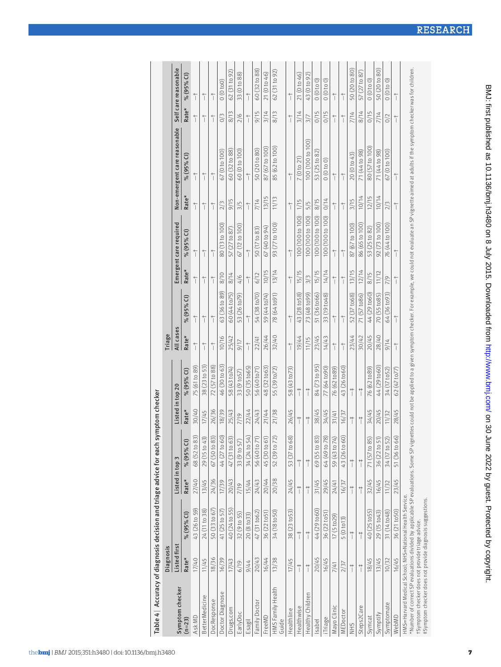| Table 4   Accuracy of diagnosis decision and triage advice for each symptom checker                                                                                          |              |                         |                 |               |                  |                         |                      |                        |                      |                        |                                        |                                                                                                                                                                   |                      |                         |
|------------------------------------------------------------------------------------------------------------------------------------------------------------------------------|--------------|-------------------------|-----------------|---------------|------------------|-------------------------|----------------------|------------------------|----------------------|------------------------|----------------------------------------|-------------------------------------------------------------------------------------------------------------------------------------------------------------------|----------------------|-------------------------|
|                                                                                                                                                                              | Diagnosis    |                         |                 |               |                  |                         | Triage               |                        |                      |                        |                                        |                                                                                                                                                                   |                      |                         |
| Symptom checker                                                                                                                                                              | Listed first |                         | Listed in top 3 |               | Listed in top 20 |                         | All cases            |                        |                      | Emergent care required |                                        | Non-emergent care reasonable                                                                                                                                      |                      | Self care reasonable    |
| $(n=23)$                                                                                                                                                                     | Rate*        | % (95% CI)              | Rate*           | % (95% CI)    | Rate*            | % (95% CI)              | Rate*                | % (95% CI)             | Rate*                | % (95% CI)             | Rate*                                  | % (95% CI)                                                                                                                                                        | Rate*                | % (95% CI)              |
| Ask MD                                                                                                                                                                       | 17/40        | 43 (26 to 59)           | 27/40           | 68 (52 to 83) | 30/40            | 75 (61 to 89)           | $\frac{1}{1}$        | $\overline{1}$         | $\overline{1}$       | $\frac{1}{1}$          | $\frac{1}{1}$                          | $\overline{1}$                                                                                                                                                    | $\overline{1}$       | $\frac{1}{\sqrt{2}}$    |
| BetterMedicine                                                                                                                                                               | 11/45        | 24 (11 to 38)           | 13/45           | 29 (15 to 43) | 17/45            | 38 (23 to 53)           | $\frac{1}{1}$        | $\overline{1}$         | $\frac{1}{1}$        | $\frac{1}{1}$          | $\frac{1}{1}$                          | $\frac{1}{1}$                                                                                                                                                     | $\overline{1}$       | $\frac{1}{1}$           |
| DocResponse                                                                                                                                                                  | 18/36        | 50 (33 to 67)           | 24/36           | 67 (50 to 83) | 26/36            | 72 (57 to 88)           | $\frac{1}{1}$        |                        | $\frac{1}{\sqrt{2}}$ | $\frac{1}{\sqrt{2}}$   | $\ensuremath{\mathop{\dagger}\limits}$ | $\overline{1}$                                                                                                                                                    | $\frac{1}{\sqrt{2}}$ | $\frac{1}{\sqrt{2}}$    |
| <b>Doctor Diagnose</b>                                                                                                                                                       | 16/39        | 41 (25 to 57)           | 17/39           | 44 (27 to 60) | 18/39            | 46 (30 to 63)           | 10/16                | 63 (36 to 89)          | 8/10                 | 80 (13 to 100)         | 2/3                                    | 67 (0 to 100)                                                                                                                                                     | O/3                  | (0 to 0)                |
| irugs.com                                                                                                                                                                    | 17/43        | 40 (24 to 55)           | 20/43           | 47 (31 to 63) | 25/43            | 58 (43 to74)            | 25/42                | 60 (44 to75)           | 8/14                 | 57 (27 to 87)          | 9/15                                   | 60 (32 to 88)                                                                                                                                                     | 8/13                 | 62 (31 to 92)           |
| EarlyDoc                                                                                                                                                                     | 6/19         | 32 (9 to 55)            | 7/19            | 33 (9 to 57)  | 7/19             | 33 (9 to 57)            | 71/6                 | 53 (26 to79)           | 4/6                  | 67 (12 to 100)         | 3/5                                    | 60 (0 to 100)                                                                                                                                                     | $\frac{2}{6}$        | 33 (0 to 88)            |
| Esagil                                                                                                                                                                       | 9/44         | 20 (8 to 33)            | 15/44           | 34 (24 to 54  | 22/44            | 50 <sub>(35</sub> to65) | $\frac{1}{\sqrt{2}}$ | $\overline{1}$         | $\overline{1}$       | $\frac{1}{\sqrt{2}}$   | $\overline{1}$                         | $\overline{1}$                                                                                                                                                    | $\frac{1}{\sqrt{2}}$ | $\frac{1}{\sqrt{2}}$    |
| Family Doctor                                                                                                                                                                | 20/43        | 47 (31 to62)            | 24/43           | 56 (40 to 71) | 24/43            | 56 (40 to71)            | 22/41                | 54 (38 to70)           | 6/12                 | 50 (17 to 83)          | 7/14                                   | 50 (20 to 80)                                                                                                                                                     | 9/15                 | 60 <sub>(32to</sub> 88) |
| FreeMD                                                                                                                                                                       | 16/44        | 36 (22 to 51)           | 20/44           | 45 (30 to 61) | 21/44            | 48 (32 to 63)           | 26/44                | 59 (44 to74)           | 10/15                | 67 (40 to 94)          | 13/15                                  | 87 (67 to 100)                                                                                                                                                    | 3/14                 | 21 (0 to 46)            |
| HMS Family Health<br>Guide                                                                                                                                                   | 13/38        | 34 (18 to 50)           | 20/38           | 52 (39 to 72) | 21/38            | 55 (39 to72)            | 32/40                | 78 (64 to 91)          | 13/14                | 93 (77 to 100)         | 11/13                                  | 85 (62 to 100)                                                                                                                                                    | 8/13                 | 62 (31 to 92)           |
| Healthline                                                                                                                                                                   | 17/45        | 38 (23 to 53)           | 24/45           | 53 (37 to 68) | 26/45            | 58 (43 to73)            | $\frac{1}{\sqrt{2}}$ | $\frac{1}{1}$          | $\frac{1}{1}$        | $\frac{1}{\sqrt{2}}$   | $\frac{1}{1}$                          | $\overline{1}$                                                                                                                                                    | $\frac{1}{\sqrt{2}}$ | $\frac{1}{\sqrt{2}}$    |
| Healthwise                                                                                                                                                                   | $\ddagger$   | $\ddagger$              | $\ddagger$      | $\ddagger$    | $\ddagger$       | $\ddagger$              | 19/44                | 43 (28 to 58)          | 15/15                | 100 (100 to 100)       | 1/15                                   | 7(0 to 21)                                                                                                                                                        | 3/14                 | 21 (0 to 46)            |
| Healthy Children                                                                                                                                                             | $\ddagger$   | $\ddagger$              | $\ddagger$      | $\ddagger$    | $\ddagger$       | $\ddagger$              | 11/15                | 73 (48 to 99)          | 3/3                  | 100 (100 to 100)       | 5/5                                    | 00 (100 to 100)                                                                                                                                                   | 3/7                  | 43 (0 to 92)            |
| Isabel                                                                                                                                                                       | 20/45        | 44 (29 to60)            | 31/45           | 69 (55 to 83) | 38/45            | 84 (73 to 95)           | 23/45                | 51 (36 to 66)          | 15/15                | 100 (100 to 100)       | 8/15                                   | 53 (25 to 82)                                                                                                                                                     | O/15                 | (0 to 0)                |
| Triage                                                                                                                                                                       | 16/45        | 36 (22 to 51)           | 29/45           | 64 (49 to 78) | 34/45            | 77 (64 to 90)           | 14/43                | 33 (19 to 48)          | 14/14                | 100 (100 to 100)       | O/14                                   | $(0 \t0 \t0 \t0)$                                                                                                                                                 | 0/15                 | (0 to 0)                |
| Mayo Clinic                                                                                                                                                                  | 7/41         | 17 (5 to 29)            | 24/41           | 59 (43 to 74) | 31/41            | 76 (62 to 89)           | $\frac{1}{1}$        | $\frac{1}{1}$          |                      | $\frac{1}{1}$          |                                        | $\frac{1}{1}$                                                                                                                                                     |                      | $\frac{1}{1}$           |
| MEDoctor                                                                                                                                                                     | 2/37         | $5(0 \text{ to } 13)$   | 16/37           | 43 (26 to 60) | 16/37            | 43 (26 to 60)           | $\frac{1}{1}$        | $\frac{1}{1}$          | $\frac{1}{1}$        | $\frac{1}{1}$          | $\frac{1}{1}$                          | $\frac{1}{1}$                                                                                                                                                     | $\frac{1}{1}$        | $\frac{1}{1}$           |
| <b>SHIN</b>                                                                                                                                                                  | $\ddagger$   | $\ddagger$              | $\ddot{ }$      | $\ddagger$    | $\ddagger$       | $\ddagger$              | 23/44                | 52 <sub>(37to68)</sub> | 13/15                | 87 (67 to 100)         | 3/15                                   | 20 (0 to 43)                                                                                                                                                      | 7/14                 | 50 <sub>(20to 80)</sub> |
| Steps2Care                                                                                                                                                                   | $\ddagger$   | $\ddagger$              | $\ddagger$      | $\ddagger$    | $\ddagger$       | $\ddagger$              | 30/42                | 71 (57 to 86)          | 12/14                | 86 (65 to 100)         | 10/14                                  | 71 (44 to 98)                                                                                                                                                     | 8/14                 | 57 (27 to 87)           |
| Symcat                                                                                                                                                                       | 18/45        | 40 (25 to 55)           | 32/45           | 71 (57 to 85) | 34/45            | 76 (62 to 89)           | 20/45                | 44 (29 to 60)          | 8/15                 | 53 (25 to 82)          | 12/15                                  | 80 (57 to 100)                                                                                                                                                    | O/15                 | (0 t 0 0)               |
| Symptify                                                                                                                                                                     | 13/45        | 29 (15 to 43)           | 16/45           | 36 (22 to 51) | 20/45            | 44 (29 to 60)           | 28/40                | 70 (55 to85)           | 11/12                | 92 (73 to 100)         | 10/14                                  | 71 (44 to 98)                                                                                                                                                     | 7/14                 | 50 (20 to 80)           |
| Symptomate                                                                                                                                                                   | 10/32        | 31 (14 to 48)           | 11/32           | 34 (17 to 52) | 11/32            | 34 (17 to 52)           | 9/14                 | 64 (36 to93)           | 7/9                  | 76 (44 to 100)         | 2/3                                    | 67 (0 to 100)                                                                                                                                                     | O/2                  | (0 t 0 0)               |
| WebMD                                                                                                                                                                        | 16/45        | 36 <sub>(21 to50)</sub> | 23/45           | 51 (36 to 66) | 28/45            | 62 (47 to77)            | $\frac{1}{1}$        | $\frac{1}{1}$          | $\frac{1}{1}$        | $\frac{1}{1}$          | $\overline{1}$                         |                                                                                                                                                                   |                      |                         |
| *Number of correct SP evaluations divided by applicable SP evaluations. Some SP vign<br>HMS=Harvard Medical School; NHS=National Health Service.<br>$\overline{\phantom{0}}$ |              |                         |                 |               |                  |                         |                      |                        |                      |                        |                                        | ettes could not be applied to a given symptom checker. For example, we could not evaluate an SP vignette aimed at adults if the symptom checker was for children. |                      |                         |

†Symptom checker does not provide triage advice.

†Symptom checker does not provide triage advice.<br>‡Symptom checker does not provide diagnosis suggestions. ‡Symptom checker does not provide diagnosis suggestions.

BMJ: first published as 10.1136/bmj.h3480 on 8 July 2015. Downloaded from http://www.bmj.com/ on 30 June 2022 by guest. Protected by copyright. BMJ: first published as 10.1136/bmj.h3480 on 8 July 2015. Downloaded from <http://www.bmj.com/> on 30 June 2022 by guest. Protected by copyright.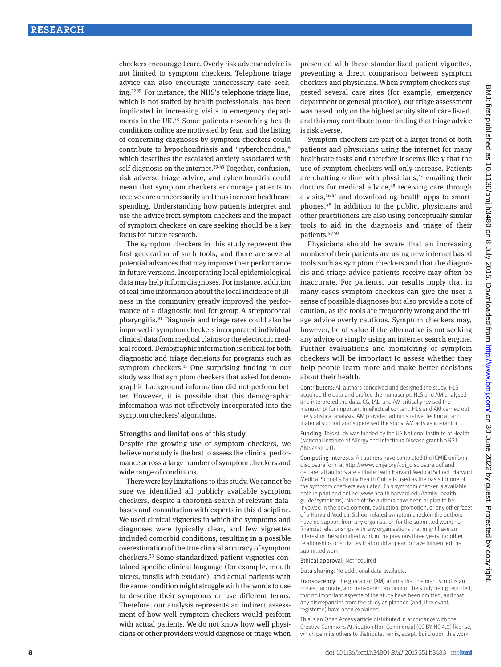checkers encouraged care. Overly risk adverse advice is not limited to symptom checkers. Telephone triage advice can also encourage unnecessary care seeking[.32](#page-8-23) [35](#page-8-27) For instance, the NHS's telephone triage line, which is not staffed by health professionals, has been implicated in increasing visits to emergency departments in the UK[.38](#page-8-31) Some patients researching health conditions online are motivated by fear, and the listing of concerning diagnoses by symptom checkers could contribute to hypochondriasis and "cyberchondria," which describes the escalated anxiety associated with self diagnosis on the internet.<sup>[39](#page-8-32)-43</sup> Together, confusion, risk adverse triage advice, and cyberchondria could mean that symptom checkers encourage patients to receive care unnecessarily and thus increase healthcare spending. Understanding how patients interpret and use the advice from symptom checkers and the impact of symptom checkers on care seeking should be a key focus for future research.

The symptom checkers in this study represent the first generation of such tools, and there are several potential advances that may improve their performance in future versions. Incorporating local epidemiological data may help inform diagnoses. For instance, addition of real time information about the local incidence of illness in the community greatly improved the performance of a diagnostic tool for group A streptococcal pharyngitis[.10](#page-8-34) Diagnosis and triage rates could also be improved if symptom checkers incorporated individual clinical data from medical claims or the electronic medical record. Demographic information is critical for both diagnostic and triage decisions for programs such as symptom checkers.<sup>11</sup> One surprising finding in our study was that symptom checkers that asked for demographic background information did not perform better. However, it is possible that this demographic information was not effectively incorporated into the symptom checkers' algorithms.

#### Strengths and limitations of this study

Despite the growing use of symptom checkers, we believe our study is the first to assess the clinical performance across a large number of symptom checkers and wide range of conditions.

There were key limitations to this study. We cannot be sure we identified all publicly available symptom checkers, despite a thorough search of relevant databases and consultation with experts in this discipline. We used clinical vignettes in which the symptoms and diagnoses were typically clear, and few vignettes included comorbid conditions, resulting in a possible overestimation of the true clinical accuracy of symptom checkers[.33](#page-8-25) Some standardized patient vignettes contained specific clinical language (for example, mouth ulcers, tonsils with exudate), and actual patients with the same condition might struggle with the words to use to describe their symptoms or use different terms. Therefore, our analysis represents an indirect assessment of how well symptom checkers would perform with actual patients. We do not know how well physicians or other providers would diagnose or triage when presented with these standardized patient vignettes, preventing a direct comparison between symptom checkers and physicians. When symptom checkers suggested several care sites (for example, emergency department or general practice), our triage assessment was based only on the highest acuity site of care listed, and this may contribute to our finding that triage advice is risk averse.

Symptom checkers are part of a larger trend of both patients and physicians using the internet for many healthcare tasks and therefore it seems likely that the use of symptom checkers will only increase. Patients are chatting online with physicians, $44$  emailing their doctors for medical advice,<sup>45</sup> receiving care through e-visits,<sup>46 [47](#page-8-39)</sup> and downloading health apps to smartphones.[48](#page-8-40) In addition to the public, physicians and other practitioners are also using conceptually similar tools to aid in the diagnosis and triage of their patients.[49](#page-8-41) [50](#page-8-42)

Physicians should be aware that an increasing number of their patients are using new internet based tools such as symptom checkers and that the diagnosis and triage advice patients receive may often be inaccurate. For patients, our results imply that in many cases symptom checkers can give the user a sense of possible diagnoses but also provide a note of caution, as the tools are frequently wrong and the triage advice overly cautious. Symptom checkers may, however, be of value if the alternative is not seeking any advice or simply using an internet search engine. Further evaluations and monitoring of symptom checkers will be important to assess whether they help people learn more and make better decisions about their health.

Contributors: All authors conceived and designed the study. HLS acquired the data and drafted the manuscript. HLS and AM analysed and interpreted the data. CG, JAL, and AM critically revised the manuscript for important intellectual content. HLS and AM carried out the statistical analysis. AM provided administrative, technical, and material support and supervised the study. AM acts as guarantor.

Funding: This study was funded by the US National Institute of Health (National Institute of Allergy and Infectious Disease grant No R21 AI097759-01).

Competing interests: All authors have completed the ICMJE uniform disclosure form at [http://www.icmje.org/coi\\_disclosure.pdf](http://www.icmje.org/coi_disclosure.pdf) and declare: all authors are affiliated with Harvard Medical School. Harvard Medical School's Family Health Guide is used as the basis for one of the symptom checkers evaluated. This symptom checker is available both in print and online [\(www.health.harvard.edu/family\\_health\\_](http://www.health.harvard.edu/family_health_guide/symptoms) [guide/symptoms\)](http://www.health.harvard.edu/family_health_guide/symptoms). None of the authors have been or plan to be involved in the development, evaluation, promotion, or any other facet of a Harvard Medical School related symptom checker; the authors have no support from any organisation for the submitted work; no financial relationships with any organisations that might have an interest in the submitted work in the previous three years; no other relationships or activities that could appear to have influenced the submitted work.

Ethical approval: Not required

Data sharing: No additional data available.

Transparency: The guarantor (AM) affirms that the manuscript is an honest, accurate, and transparent account of the study being reported; that no important aspects of the study have been omitted; and that any discrepancies from the study as planned (and, if relevant, registered) have been explained.

This is an Open Access article distributed in accordance with the Creative Commons Attribution Non Commercial (CC BY-NC 4.0) license, which permits others to distribute, remix, adapt, build upon this work